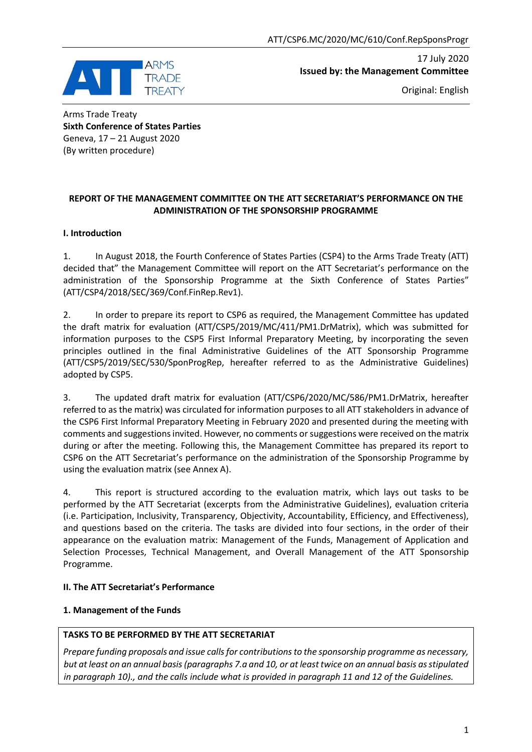

17 July 2020 **Issued by: the Management Committee**

Original: English

Arms Trade Treaty **Sixth Conference of States Parties** Geneva, 17 – 21 August 2020 (By written procedure)

## **REPORT OF THE MANAGEMENT COMMITTEE ON THE ATT SECRETARIAT'S PERFORMANCE ON THE ADMINISTRATION OF THE SPONSORSHIP PROGRAMME**

## **I. Introduction**

1. In August 2018, the Fourth Conference of States Parties (CSP4) to the Arms Trade Treaty (ATT) decided that" the Management Committee will report on the ATT Secretariat's performance on the administration of the Sponsorship Programme at the Sixth Conference of States Parties" (ATT/CSP4/2018/SEC/369/Conf.FinRep.Rev1).

2. In order to prepare its report to CSP6 as required, the Management Committee has updated the draft matrix for evaluation (ATT/CSP5/2019/MC/411/PM1.DrMatrix), which was submitted for information purposes to the CSP5 First Informal Preparatory Meeting, by incorporating the seven principles outlined in the final Administrative Guidelines of the ATT Sponsorship Programme (ATT/CSP5/2019/SEC/530/SponProgRep, hereafter referred to as the Administrative Guidelines) adopted by CSP5.

3. The updated draft matrix for evaluation (ATT/CSP6/2020/MC/586/PM1.DrMatrix, hereafter referred to as the matrix) was circulated for information purposes to all ATT stakeholders in advance of the CSP6 First Informal Preparatory Meeting in February 2020 and presented during the meeting with comments and suggestions invited. However, no comments or suggestions were received on the matrix during or after the meeting. Following this, the Management Committee has prepared its report to CSP6 on the ATT Secretariat's performance on the administration of the Sponsorship Programme by using the evaluation matrix (see Annex A).

4. This report is structured according to the evaluation matrix, which lays out tasks to be performed by the ATT Secretariat (excerpts from the Administrative Guidelines), evaluation criteria (i.e. Participation, Inclusivity, Transparency, Objectivity, Accountability, Efficiency, and Effectiveness), and questions based on the criteria. The tasks are divided into four sections, in the order of their appearance on the evaluation matrix: Management of the Funds, Management of Application and Selection Processes, Technical Management, and Overall Management of the ATT Sponsorship Programme.

## **II. The ATT Secretariat's Performance**

## **1. Management of the Funds**

## **TASKS TO BE PERFORMED BY THE ATT SECRETARIAT**

*Prepare funding proposals and issue calls for contributions to the sponsorship programme as necessary, but at least on an annual basis (paragraphs 7.a and 10, or at least twice on an annual basis as stipulated in paragraph 10)., and the calls include what is provided in paragraph 11 and 12 of the Guidelines.*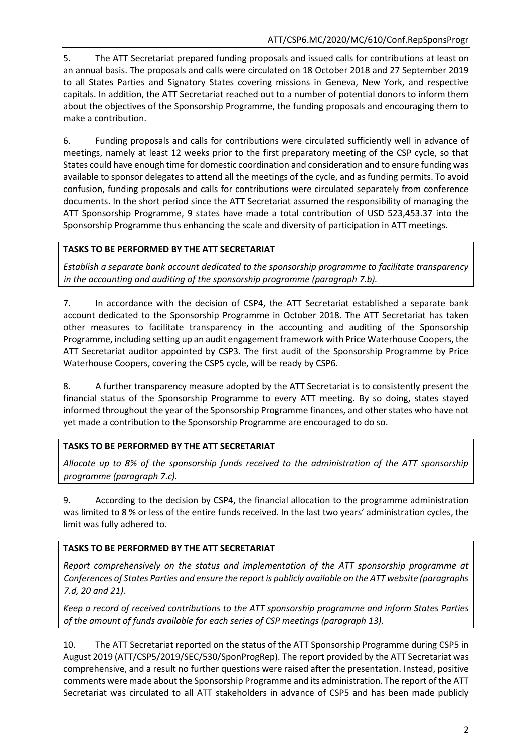5. The ATT Secretariat prepared funding proposals and issued calls for contributions at least on an annual basis. The proposals and calls were circulated on 18 October 2018 and 27 September 2019 to all States Parties and Signatory States covering missions in Geneva, New York, and respective capitals. In addition, the ATT Secretariat reached out to a number of potential donors to inform them about the objectives of the Sponsorship Programme, the funding proposals and encouraging them to make a contribution.

6. Funding proposals and calls for contributions were circulated sufficiently well in advance of meetings, namely at least 12 weeks prior to the first preparatory meeting of the CSP cycle, so that States could have enough time for domestic coordination and consideration and to ensure funding was available to sponsor delegates to attend all the meetings of the cycle, and as funding permits. To avoid confusion, funding proposals and calls for contributions were circulated separately from conference documents. In the short period since the ATT Secretariat assumed the responsibility of managing the ATT Sponsorship Programme, 9 states have made a total contribution of USD 523,453.37 into the Sponsorship Programme thus enhancing the scale and diversity of participation in ATT meetings.

## **TASKS TO BE PERFORMED BY THE ATT SECRETARIAT**

*Establish a separate bank account dedicated to the sponsorship programme to facilitate transparency in the accounting and auditing of the sponsorship programme (paragraph 7.b).*

7. In accordance with the decision of CSP4, the ATT Secretariat established a separate bank account dedicated to the Sponsorship Programme in October 2018. The ATT Secretariat has taken other measures to facilitate transparency in the accounting and auditing of the Sponsorship Programme, including setting up an audit engagement framework with Price Waterhouse Coopers, the ATT Secretariat auditor appointed by CSP3. The first audit of the Sponsorship Programme by Price Waterhouse Coopers, covering the CSP5 cycle, will be ready by CSP6.

8. A further transparency measure adopted by the ATT Secretariat is to consistently present the financial status of the Sponsorship Programme to every ATT meeting. By so doing, states stayed informed throughout the year of the Sponsorship Programme finances, and other states who have not yet made a contribution to the Sponsorship Programme are encouraged to do so.

## **TASKS TO BE PERFORMED BY THE ATT SECRETARIAT**

*Allocate up to 8% of the sponsorship funds received to the administration of the ATT sponsorship programme (paragraph 7.c).*

9. According to the decision by CSP4, the financial allocation to the programme administration was limited to 8 % or less of the entire funds received. In the last two years' administration cycles, the limit was fully adhered to.

## **TASKS TO BE PERFORMED BY THE ATT SECRETARIAT**

*Report comprehensively on the status and implementation of the ATT sponsorship programme at Conferences of States Parties and ensure the report is publicly available on the ATT website (paragraphs 7.d, 20 and 21).*

*Keep a record of received contributions to the ATT sponsorship programme and inform States Parties of the amount of funds available for each series of CSP meetings (paragraph 13).*

10. The ATT Secretariat reported on the status of the ATT Sponsorship Programme during CSP5 in August 2019 (ATT/CSP5/2019/SEC/530/SponProgRep). The report provided by the ATT Secretariat was comprehensive, and a result no further questions were raised after the presentation. Instead, positive comments were made about the Sponsorship Programme and its administration. The report of the ATT Secretariat was circulated to all ATT stakeholders in advance of CSP5 and has been made publicly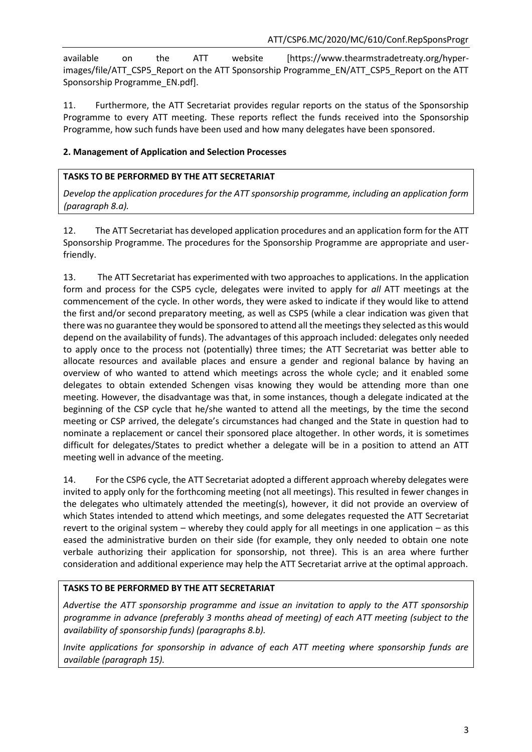available on the ATT website [https://www.thearmstradetreaty.org/hyperimages/file/ATT\_CSP5\_Report on the ATT Sponsorship Programme\_EN/ATT\_CSP5\_Report on the ATT Sponsorship Programme\_EN.pdf].

11. Furthermore, the ATT Secretariat provides regular reports on the status of the Sponsorship Programme to every ATT meeting. These reports reflect the funds received into the Sponsorship Programme, how such funds have been used and how many delegates have been sponsored.

## **2. Management of Application and Selection Processes**

#### **TASKS TO BE PERFORMED BY THE ATT SECRETARIAT**

*Develop the application procedures for the ATT sponsorship programme, including an application form (paragraph 8.a).*

12. The ATT Secretariat has developed application procedures and an application form for the ATT Sponsorship Programme. The procedures for the Sponsorship Programme are appropriate and userfriendly.

13. The ATT Secretariat has experimented with two approaches to applications. In the application form and process for the CSP5 cycle, delegates were invited to apply for *all* ATT meetings at the commencement of the cycle. In other words, they were asked to indicate if they would like to attend the first and/or second preparatory meeting, as well as CSP5 (while a clear indication was given that there was no guarantee they would be sponsored to attend all the meetings they selected as this would depend on the availability of funds). The advantages of this approach included: delegates only needed to apply once to the process not (potentially) three times; the ATT Secretariat was better able to allocate resources and available places and ensure a gender and regional balance by having an overview of who wanted to attend which meetings across the whole cycle; and it enabled some delegates to obtain extended Schengen visas knowing they would be attending more than one meeting. However, the disadvantage was that, in some instances, though a delegate indicated at the beginning of the CSP cycle that he/she wanted to attend all the meetings, by the time the second meeting or CSP arrived, the delegate's circumstances had changed and the State in question had to nominate a replacement or cancel their sponsored place altogether. In other words, it is sometimes difficult for delegates/States to predict whether a delegate will be in a position to attend an ATT meeting well in advance of the meeting.

14. For the CSP6 cycle, the ATT Secretariat adopted a different approach whereby delegates were invited to apply only for the forthcoming meeting (not all meetings). This resulted in fewer changes in the delegates who ultimately attended the meeting(s), however, it did not provide an overview of which States intended to attend which meetings, and some delegates requested the ATT Secretariat revert to the original system – whereby they could apply for all meetings in one application – as this eased the administrative burden on their side (for example, they only needed to obtain one note verbale authorizing their application for sponsorship, not three). This is an area where further consideration and additional experience may help the ATT Secretariat arrive at the optimal approach.

## **TASKS TO BE PERFORMED BY THE ATT SECRETARIAT**

*Advertise the ATT sponsorship programme and issue an invitation to apply to the ATT sponsorship programme in advance (preferably 3 months ahead of meeting) of each ATT meeting (subject to the availability of sponsorship funds) (paragraphs 8.b).*

*Invite applications for sponsorship in advance of each ATT meeting where sponsorship funds are available (paragraph 15).*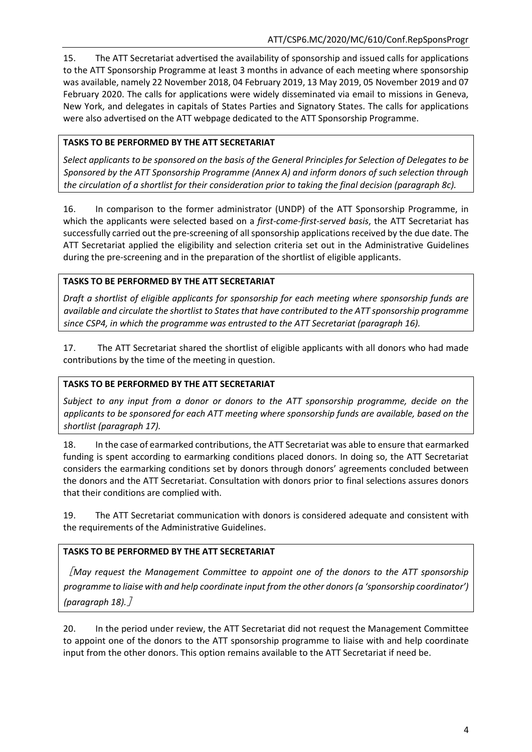15. The ATT Secretariat advertised the availability of sponsorship and issued calls for applications to the ATT Sponsorship Programme at least 3 months in advance of each meeting where sponsorship was available, namely 22 November 2018, 04 February 2019, 13 May 2019, 05 November 2019 and 07 February 2020. The calls for applications were widely disseminated via email to missions in Geneva, New York, and delegates in capitals of States Parties and Signatory States. The calls for applications were also advertised on the ATT webpage dedicated to the ATT Sponsorship Programme.

## **TASKS TO BE PERFORMED BY THE ATT SECRETARIAT**

*Select applicants to be sponsored on the basis of the General Principles for Selection of Delegates to be Sponsored by the ATT Sponsorship Programme (Annex A) and inform donors of such selection through the circulation of a shortlist for their consideration prior to taking the final decision (paragraph 8c).*

16. In comparison to the former administrator (UNDP) of the ATT Sponsorship Programme, in which the applicants were selected based on a *first-come-first-served basis*, the ATT Secretariat has successfully carried out the pre-screening of all sponsorship applications received by the due date. The ATT Secretariat applied the eligibility and selection criteria set out in the Administrative Guidelines during the pre-screening and in the preparation of the shortlist of eligible applicants.

## **TASKS TO BE PERFORMED BY THE ATT SECRETARIAT**

*Draft a shortlist of eligible applicants for sponsorship for each meeting where sponsorship funds are available and circulate the shortlist to States that have contributed to the ATT sponsorship programme since CSP4, in which the programme was entrusted to the ATT Secretariat (paragraph 16).*

17. The ATT Secretariat shared the shortlist of eligible applicants with all donors who had made contributions by the time of the meeting in question.

## **TASKS TO BE PERFORMED BY THE ATT SECRETARIAT**

*Subject to any input from a donor or donors to the ATT sponsorship programme, decide on the applicants to be sponsored for each ATT meeting where sponsorship funds are available, based on the shortlist (paragraph 17).*

18. In the case of earmarked contributions, the ATT Secretariat was able to ensure that earmarked funding is spent according to earmarking conditions placed donors. In doing so, the ATT Secretariat considers the earmarking conditions set by donors through donors' agreements concluded between the donors and the ATT Secretariat. Consultation with donors prior to final selections assures donors that their conditions are complied with.

19. The ATT Secretariat communication with donors is considered adequate and consistent with the requirements of the Administrative Guidelines.

## **TASKS TO BE PERFORMED BY THE ATT SECRETARIAT**

[*May request the Management Committee to appoint one of the donors to the ATT sponsorship programme to liaise with and help coordinate input from the other donors (a 'sponsorship coordinator') (paragraph 18).*]

20. In the period under review, the ATT Secretariat did not request the Management Committee to appoint one of the donors to the ATT sponsorship programme to liaise with and help coordinate input from the other donors. This option remains available to the ATT Secretariat if need be.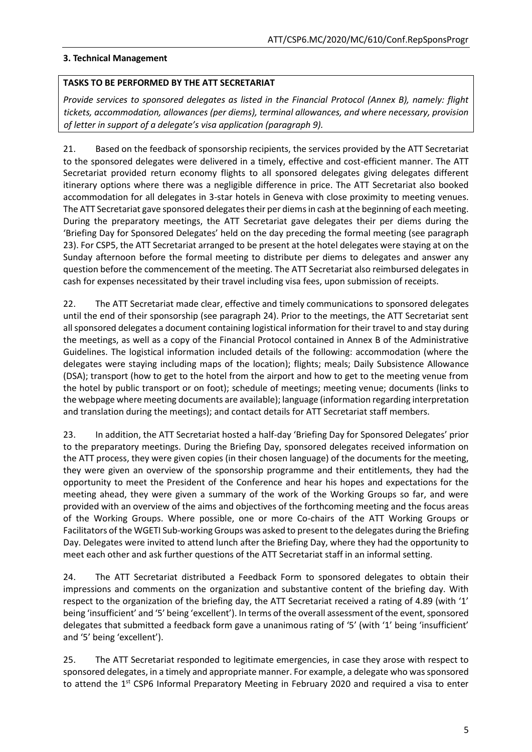#### **3. Technical Management**

#### **TASKS TO BE PERFORMED BY THE ATT SECRETARIAT**

*Provide services to sponsored delegates as listed in the Financial Protocol (Annex B), namely: flight tickets, accommodation, allowances (per diems), terminal allowances, and where necessary, provision of letter in support of a delegate's visa application (paragraph 9).*

21. Based on the feedback of sponsorship recipients, the services provided by the ATT Secretariat to the sponsored delegates were delivered in a timely, effective and cost-efficient manner. The ATT Secretariat provided return economy flights to all sponsored delegates giving delegates different itinerary options where there was a negligible difference in price. The ATT Secretariat also booked accommodation for all delegates in 3-star hotels in Geneva with close proximity to meeting venues. The ATT Secretariat gave sponsored delegates their per diems in cash at the beginning of each meeting. During the preparatory meetings, the ATT Secretariat gave delegates their per diems during the 'Briefing Day for Sponsored Delegates' held on the day preceding the formal meeting (see paragraph 23). For CSP5, the ATT Secretariat arranged to be present at the hotel delegates were staying at on the Sunday afternoon before the formal meeting to distribute per diems to delegates and answer any question before the commencement of the meeting. The ATT Secretariat also reimbursed delegates in cash for expenses necessitated by their travel including visa fees, upon submission of receipts.

22. The ATT Secretariat made clear, effective and timely communications to sponsored delegates until the end of their sponsorship (see paragraph 24). Prior to the meetings, the ATT Secretariat sent all sponsored delegates a document containing logistical information for their travel to and stay during the meetings, as well as a copy of the Financial Protocol contained in Annex B of the Administrative Guidelines. The logistical information included details of the following: accommodation (where the delegates were staying including maps of the location); flights; meals; Daily Subsistence Allowance (DSA); transport (how to get to the hotel from the airport and how to get to the meeting venue from the hotel by public transport or on foot); schedule of meetings; meeting venue; documents (links to the webpage where meeting documents are available); language (information regarding interpretation and translation during the meetings); and contact details for ATT Secretariat staff members.

23. In addition, the ATT Secretariat hosted a half-day 'Briefing Day for Sponsored Delegates' prior to the preparatory meetings. During the Briefing Day, sponsored delegates received information on the ATT process, they were given copies (in their chosen language) of the documents for the meeting, they were given an overview of the sponsorship programme and their entitlements, they had the opportunity to meet the President of the Conference and hear his hopes and expectations for the meeting ahead, they were given a summary of the work of the Working Groups so far, and were provided with an overview of the aims and objectives of the forthcoming meeting and the focus areas of the Working Groups. Where possible, one or more Co-chairs of the ATT Working Groups or Facilitators of the WGETI Sub-working Groups was asked to present to the delegates during the Briefing Day. Delegates were invited to attend lunch after the Briefing Day, where they had the opportunity to meet each other and ask further questions of the ATT Secretariat staff in an informal setting.

24. The ATT Secretariat distributed a Feedback Form to sponsored delegates to obtain their impressions and comments on the organization and substantive content of the briefing day. With respect to the organization of the briefing day, the ATT Secretariat received a rating of 4.89 (with '1' being 'insufficient' and '5' being 'excellent'). In terms of the overall assessment of the event, sponsored delegates that submitted a feedback form gave a unanimous rating of '5' (with '1' being 'insufficient' and '5' being 'excellent').

25. The ATT Secretariat responded to legitimate emergencies, in case they arose with respect to sponsored delegates, in a timely and appropriate manner. For example, a delegate who was sponsored to attend the 1<sup>st</sup> CSP6 Informal Preparatory Meeting in February 2020 and required a visa to enter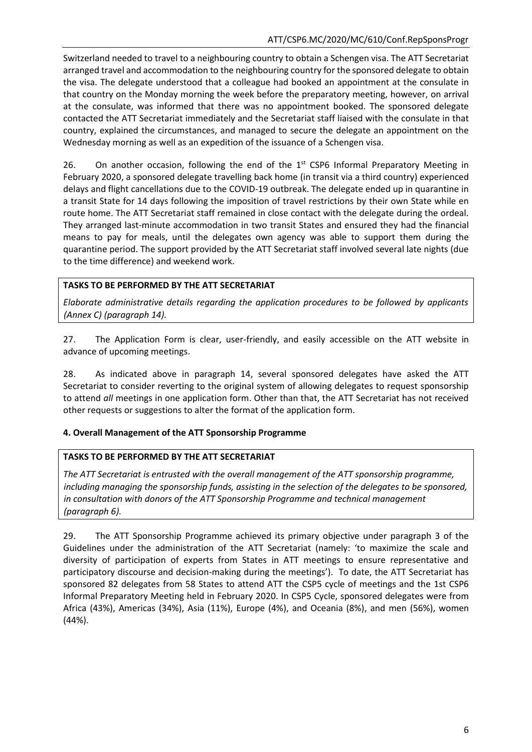Switzerland needed to travel to a neighbouring country to obtain a Schengen visa. The ATT Secretariat arranged travel and accommodation to the neighbouring country for the sponsored delegate to obtain the visa. The delegate understood that a colleague had booked an appointment at the consulate in that country on the Monday morning the week before the preparatory meeting, however, on arrival at the consulate, was informed that there was no appointment booked. The sponsored delegate contacted the ATT Secretariat immediately and the Secretariat staff liaised with the consulate in that country, explained the circumstances, and managed to secure the delegate an appointment on the Wednesday morning as well as an expedition of the issuance of a Schengen visa.

26. On another occasion, following the end of the  $1<sup>st</sup>$  CSP6 Informal Preparatory Meeting in February 2020, a sponsored delegate travelling back home (in transit via a third country) experienced delays and flight cancellations due to the COVID-19 outbreak. The delegate ended up in quarantine in a transit State for 14 days following the imposition of travel restrictions by their own State while en route home. The ATT Secretariat staff remained in close contact with the delegate during the ordeal. They arranged last-minute accommodation in two transit States and ensured they had the financial means to pay for meals, until the delegates own agency was able to support them during the quarantine period. The support provided by the ATT Secretariat staff involved several late nights (due to the time difference) and weekend work.

## **TASKS TO BE PERFORMED BY THE ATT SECRETARIAT**

*Elaborate administrative details regarding the application procedures to be followed by applicants (Annex C) (paragraph 14).*

27. The Application Form is clear, user-friendly, and easily accessible on the ATT website in advance of upcoming meetings.

28. As indicated above in paragraph 14, several sponsored delegates have asked the ATT Secretariat to consider reverting to the original system of allowing delegates to request sponsorship to attend *all* meetings in one application form. Other than that, the ATT Secretariat has not received other requests or suggestions to alter the format of the application form.

## **4. Overall Management of the ATT Sponsorship Programme**

## **TASKS TO BE PERFORMED BY THE ATT SECRETARIAT**

*The ATT Secretariat is entrusted with the overall management of the ATT sponsorship programme, including managing the sponsorship funds, assisting in the selection of the delegates to be sponsored, in consultation with donors of the ATT Sponsorship Programme and technical management (paragraph 6).*

29. The ATT Sponsorship Programme achieved its primary objective under paragraph 3 of the Guidelines under the administration of the ATT Secretariat (namely: 'to maximize the scale and diversity of participation of experts from States in ATT meetings to ensure representative and participatory discourse and decision-making during the meetings'). To date, the ATT Secretariat has sponsored 82 delegates from 58 States to attend ATT the CSP5 cycle of meetings and the 1st CSP6 Informal Preparatory Meeting held in February 2020. In CSP5 Cycle, sponsored delegates were from Africa (43%), Americas (34%), Asia (11%), Europe (4%), and Oceania (8%), and men (56%), women (44%).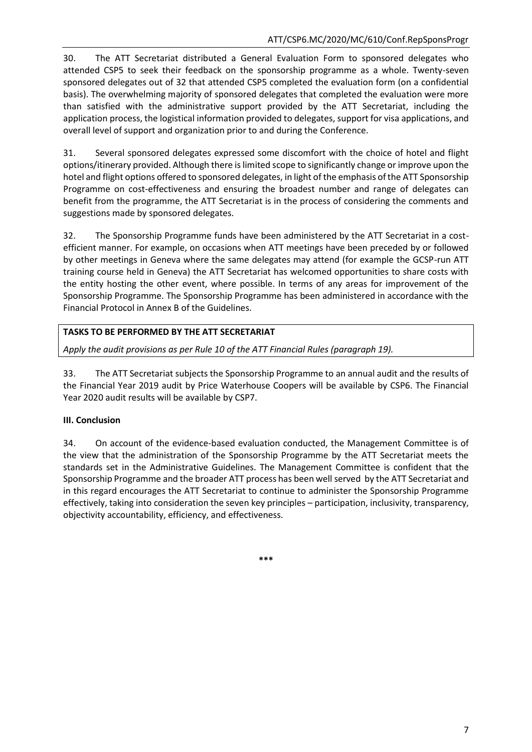30. The ATT Secretariat distributed a General Evaluation Form to sponsored delegates who attended CSP5 to seek their feedback on the sponsorship programme as a whole. Twenty-seven sponsored delegates out of 32 that attended CSP5 completed the evaluation form (on a confidential basis). The overwhelming majority of sponsored delegates that completed the evaluation were more than satisfied with the administrative support provided by the ATT Secretariat, including the application process, the logistical information provided to delegates, support for visa applications, and overall level of support and organization prior to and during the Conference.

31. Several sponsored delegates expressed some discomfort with the choice of hotel and flight options/itinerary provided. Although there is limited scope to significantly change or improve upon the hotel and flight options offered to sponsored delegates, in light of the emphasis of the ATT Sponsorship Programme on cost-effectiveness and ensuring the broadest number and range of delegates can benefit from the programme, the ATT Secretariat is in the process of considering the comments and suggestions made by sponsored delegates.

32. The Sponsorship Programme funds have been administered by the ATT Secretariat in a costefficient manner. For example, on occasions when ATT meetings have been preceded by or followed by other meetings in Geneva where the same delegates may attend (for example the GCSP-run ATT training course held in Geneva) the ATT Secretariat has welcomed opportunities to share costs with the entity hosting the other event, where possible. In terms of any areas for improvement of the Sponsorship Programme. The Sponsorship Programme has been administered in accordance with the Financial Protocol in Annex B of the Guidelines.

## **TASKS TO BE PERFORMED BY THE ATT SECRETARIAT**

*Apply the audit provisions as per Rule 10 of the ATT Financial Rules (paragraph 19).*

33. The ATT Secretariat subjects the Sponsorship Programme to an annual audit and the results of the Financial Year 2019 audit by Price Waterhouse Coopers will be available by CSP6. The Financial Year 2020 audit results will be available by CSP7.

## **III. Conclusion**

34. On account of the evidence-based evaluation conducted, the Management Committee is of the view that the administration of the Sponsorship Programme by the ATT Secretariat meets the standards set in the Administrative Guidelines. The Management Committee is confident that the Sponsorship Programme and the broader ATT process has been well served by the ATT Secretariat and in this regard encourages the ATT Secretariat to continue to administer the Sponsorship Programme effectively, taking into consideration the seven key principles – participation, inclusivity, transparency, objectivity accountability, efficiency, and effectiveness.

**\*\*\***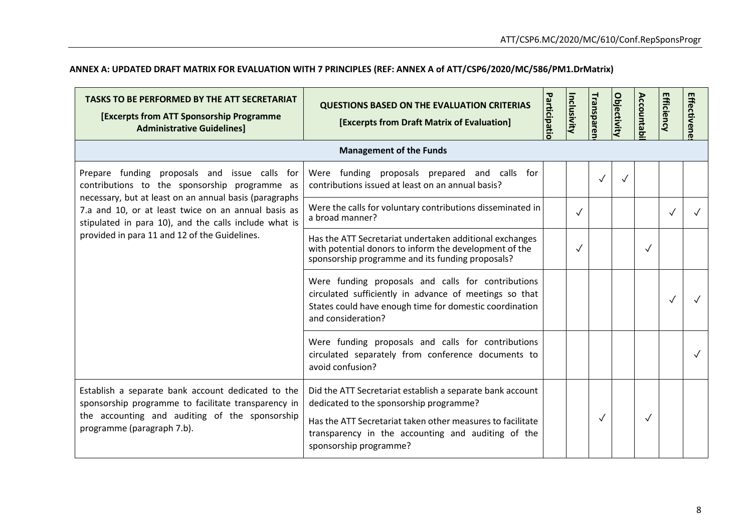# **ANNEX A: UPDATED DRAFT MATRIX FOR EVALUATION WITH 7 PRINCIPLES (REF: ANNEX A of ATT/CSP6/2020/MC/586/PM1.DrMatrix)**

| <b>TASKS TO BE PERFORMED BY THE ATT SECRETARIAT</b><br><b>[Excerpts from ATT Sponsorship Programme</b><br><b>Administrative Guidelines]</b>                                               | <b>QUESTIONS BASED ON THE EVALUATION CRITERIAS</b><br>[Excerpts from Draft Matrix of Evaluation]                                                                                                                                                   | Participatic | Inclusivity  | Transparer   | Objectivity | Accountab    | <b>Efficiency</b> | Effectivene |
|-------------------------------------------------------------------------------------------------------------------------------------------------------------------------------------------|----------------------------------------------------------------------------------------------------------------------------------------------------------------------------------------------------------------------------------------------------|--------------|--------------|--------------|-------------|--------------|-------------------|-------------|
| <b>Management of the Funds</b>                                                                                                                                                            |                                                                                                                                                                                                                                                    |              |              |              |             |              |                   |             |
| Prepare funding proposals and issue calls for<br>contributions to the sponsorship programme as                                                                                            | Were funding proposals prepared and calls for<br>contributions issued at least on an annual basis?                                                                                                                                                 |              |              | $\checkmark$ |             |              |                   |             |
| necessary, but at least on an annual basis (paragraphs<br>7.a and 10, or at least twice on an annual basis as<br>stipulated in para 10), and the calls include what is                    | Were the calls for voluntary contributions disseminated in<br>a broad manner?                                                                                                                                                                      |              | $\checkmark$ |              |             |              |                   |             |
| provided in para 11 and 12 of the Guidelines.                                                                                                                                             | Has the ATT Secretariat undertaken additional exchanges<br>with potential donors to inform the development of the<br>sponsorship programme and its funding proposals?                                                                              |              | $\checkmark$ |              |             | $\checkmark$ |                   |             |
|                                                                                                                                                                                           | Were funding proposals and calls for contributions<br>circulated sufficiently in advance of meetings so that<br>States could have enough time for domestic coordination<br>and consideration?                                                      |              |              |              |             |              | ✓                 |             |
|                                                                                                                                                                                           | Were funding proposals and calls for contributions<br>circulated separately from conference documents to<br>avoid confusion?                                                                                                                       |              |              |              |             |              |                   |             |
| Establish a separate bank account dedicated to the<br>sponsorship programme to facilitate transparency in<br>the accounting and auditing of the sponsorship<br>programme (paragraph 7.b). | Did the ATT Secretariat establish a separate bank account<br>dedicated to the sponsorship programme?<br>Has the ATT Secretariat taken other measures to facilitate<br>transparency in the accounting and auditing of the<br>sponsorship programme? |              |              | $\checkmark$ |             | $\sqrt{}$    |                   |             |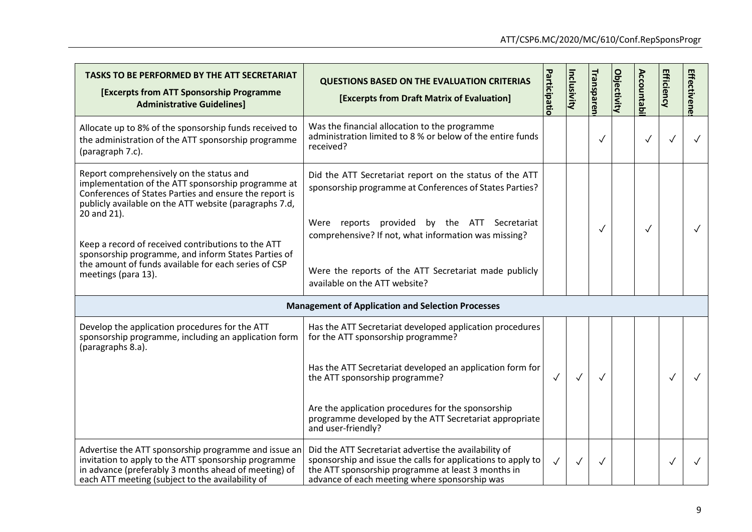| TASKS TO BE PERFORMED BY THE ATT SECRETARIAT<br><b>[Excerpts from ATT Sponsorship Programme</b><br><b>Administrative Guidelines]</b>                                                                                                                                                                                                                                                                   | <b>QUESTIONS BASED ON THE EVALUATION CRITERIAS</b><br>[Excerpts from Draft Matrix of Evaluation]                                                                                                                                                                                          | Participatic | Inclusivity  | <b>Transparen</b> | <b>Objectivity</b> | <b>Accountab</b> | Efficiency   | Effectivene  |
|--------------------------------------------------------------------------------------------------------------------------------------------------------------------------------------------------------------------------------------------------------------------------------------------------------------------------------------------------------------------------------------------------------|-------------------------------------------------------------------------------------------------------------------------------------------------------------------------------------------------------------------------------------------------------------------------------------------|--------------|--------------|-------------------|--------------------|------------------|--------------|--------------|
| Allocate up to 8% of the sponsorship funds received to<br>the administration of the ATT sponsorship programme<br>(paragraph 7.c).                                                                                                                                                                                                                                                                      | Was the financial allocation to the programme<br>administration limited to 8 % or below of the entire funds<br>received?                                                                                                                                                                  |              |              | $\checkmark$      |                    | $\checkmark$     |              |              |
| Report comprehensively on the status and<br>implementation of the ATT sponsorship programme at<br>Conferences of States Parties and ensure the report is<br>publicly available on the ATT website (paragraphs 7.d,<br>20 and 21).<br>Keep a record of received contributions to the ATT<br>sponsorship programme, and inform States Parties of<br>the amount of funds available for each series of CSP | Did the ATT Secretariat report on the status of the ATT<br>sponsorship programme at Conferences of States Parties?<br>Were reports<br>provided<br>by the ATT Secretariat<br>comprehensive? If not, what information was missing?<br>Were the reports of the ATT Secretariat made publicly |              |              | ✓                 |                    | $\sqrt{}$        |              | $\checkmark$ |
| meetings (para 13).                                                                                                                                                                                                                                                                                                                                                                                    | available on the ATT website?<br><b>Management of Application and Selection Processes</b>                                                                                                                                                                                                 |              |              |                   |                    |                  |              |              |
| Develop the application procedures for the ATT<br>sponsorship programme, including an application form<br>(paragraphs 8.a).                                                                                                                                                                                                                                                                            | Has the ATT Secretariat developed application procedures<br>for the ATT sponsorship programme?                                                                                                                                                                                            |              |              |                   |                    |                  |              |              |
|                                                                                                                                                                                                                                                                                                                                                                                                        | Has the ATT Secretariat developed an application form for<br>the ATT sponsorship programme?<br>Are the application procedures for the sponsorship                                                                                                                                         | $\checkmark$ | $\checkmark$ | $\checkmark$      |                    |                  |              |              |
|                                                                                                                                                                                                                                                                                                                                                                                                        | programme developed by the ATT Secretariat appropriate<br>and user-friendly?                                                                                                                                                                                                              |              |              |                   |                    |                  |              |              |
| Advertise the ATT sponsorship programme and issue an<br>invitation to apply to the ATT sponsorship programme<br>in advance (preferably 3 months ahead of meeting) of<br>each ATT meeting (subject to the availability of                                                                                                                                                                               | Did the ATT Secretariat advertise the availability of<br>sponsorship and issue the calls for applications to apply to<br>the ATT sponsorship programme at least 3 months in<br>advance of each meeting where sponsorship was                                                              | $\checkmark$ | $\checkmark$ | $\checkmark$      |                    |                  | $\checkmark$ |              |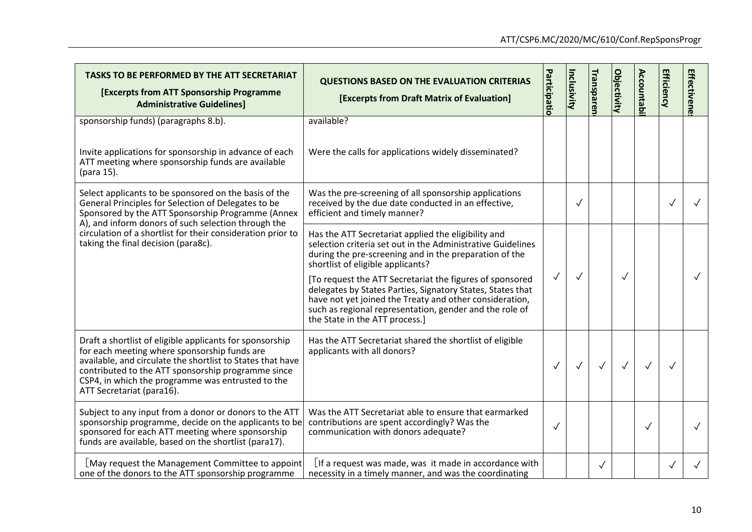| <b>TASKS TO BE PERFORMED BY THE ATT SECRETARIAT</b><br><b>[Excerpts from ATT Sponsorship Programme</b><br><b>Administrative Guidelines]</b>                                                                                                                                                                    | <b>QUESTIONS BASED ON THE EVALUATION CRITERIAS</b><br>[Excerpts from Draft Matrix of Evaluation]                                                                                                                                                                                                                                                                                                                                                                                                    | Participatio | <b>Inclusivity</b> | <b>Transparen</b> | <b>Objectivity</b> | <b>Accountabi</b> | <b>Efficiency</b> | <b>Effectivene</b> |
|----------------------------------------------------------------------------------------------------------------------------------------------------------------------------------------------------------------------------------------------------------------------------------------------------------------|-----------------------------------------------------------------------------------------------------------------------------------------------------------------------------------------------------------------------------------------------------------------------------------------------------------------------------------------------------------------------------------------------------------------------------------------------------------------------------------------------------|--------------|--------------------|-------------------|--------------------|-------------------|-------------------|--------------------|
| sponsorship funds) (paragraphs 8.b).<br>Invite applications for sponsorship in advance of each<br>ATT meeting where sponsorship funds are available<br>(para 15).                                                                                                                                              | available?<br>Were the calls for applications widely disseminated?                                                                                                                                                                                                                                                                                                                                                                                                                                  |              |                    |                   |                    |                   |                   |                    |
| Select applicants to be sponsored on the basis of the<br>General Principles for Selection of Delegates to be<br>Sponsored by the ATT Sponsorship Programme (Annex                                                                                                                                              | Was the pre-screening of all sponsorship applications<br>received by the due date conducted in an effective,<br>efficient and timely manner?                                                                                                                                                                                                                                                                                                                                                        |              | $\checkmark$       |                   |                    |                   | $\checkmark$      |                    |
| A), and inform donors of such selection through the<br>circulation of a shortlist for their consideration prior to<br>taking the final decision (para8c).                                                                                                                                                      | Has the ATT Secretariat applied the eligibility and<br>selection criteria set out in the Administrative Guidelines<br>during the pre-screening and in the preparation of the<br>shortlist of eligible applicants?<br>[To request the ATT Secretariat the figures of sponsored<br>delegates by States Parties, Signatory States, States that<br>have not yet joined the Treaty and other consideration,<br>such as regional representation, gender and the role of<br>the State in the ATT process.] | $\checkmark$ | $\checkmark$       |                   |                    |                   |                   |                    |
| Draft a shortlist of eligible applicants for sponsorship<br>for each meeting where sponsorship funds are<br>available, and circulate the shortlist to States that have<br>contributed to the ATT sponsorship programme since<br>CSP4, in which the programme was entrusted to the<br>ATT Secretariat (para16). | Has the ATT Secretariat shared the shortlist of eligible<br>applicants with all donors?                                                                                                                                                                                                                                                                                                                                                                                                             | $\checkmark$ | $\checkmark$       | $\sqrt{}$         | $\checkmark$       | $\checkmark$      |                   |                    |
| Subject to any input from a donor or donors to the ATT<br>sponsorship programme, decide on the applicants to be<br>sponsored for each ATT meeting where sponsorship<br>funds are available, based on the shortlist (para17).                                                                                   | Was the ATT Secretariat able to ensure that earmarked<br>contributions are spent accordingly? Was the<br>communication with donors adequate?                                                                                                                                                                                                                                                                                                                                                        | $\checkmark$ |                    |                   |                    | $\checkmark$      |                   |                    |
| [May request the Management Committee to appoint<br>one of the donors to the ATT sponsorship programme                                                                                                                                                                                                         | $\lfloor$ If a request was made, was it made in accordance with<br>necessity in a timely manner, and was the coordinating                                                                                                                                                                                                                                                                                                                                                                           |              |                    | $\checkmark$      |                    |                   | $\checkmark$      |                    |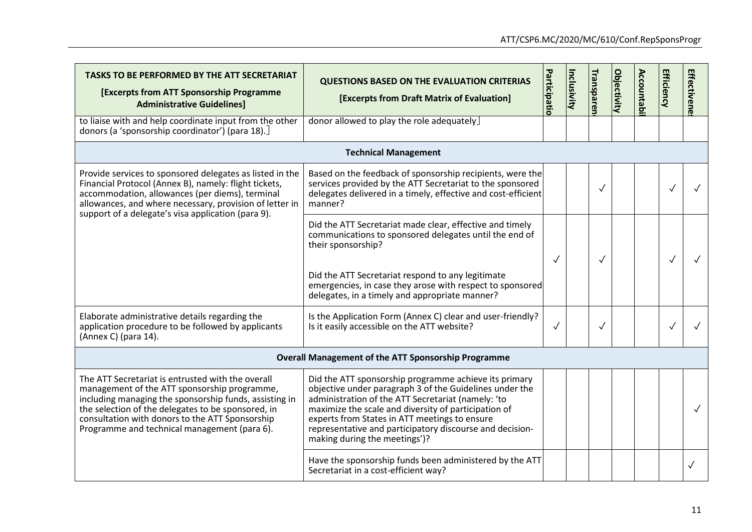| TASKS TO BE PERFORMED BY THE ATT SECRETARIAT<br><b>[Excerpts from ATT Sponsorship Programme</b><br><b>Administrative Guidelines]</b>                                                                                                                                                                                 | <b>QUESTIONS BASED ON THE EVALUATION CRITERIAS</b><br>[Excerpts from Draft Matrix of Evaluation]                                                                                                                                                                                                                                                                             | Participatio | Inclusivity | <b>Transparen</b> | <b>Objectivity</b> | <b>Accountabi</b> | <b>Efficiency</b> | <b>Effectivene</b> |
|----------------------------------------------------------------------------------------------------------------------------------------------------------------------------------------------------------------------------------------------------------------------------------------------------------------------|------------------------------------------------------------------------------------------------------------------------------------------------------------------------------------------------------------------------------------------------------------------------------------------------------------------------------------------------------------------------------|--------------|-------------|-------------------|--------------------|-------------------|-------------------|--------------------|
| to liaise with and help coordinate input from the other<br>donors (a 'sponsorship coordinator') (para 18).]                                                                                                                                                                                                          | donor allowed to play the role adequately                                                                                                                                                                                                                                                                                                                                    |              |             |                   |                    |                   |                   |                    |
|                                                                                                                                                                                                                                                                                                                      | <b>Technical Management</b>                                                                                                                                                                                                                                                                                                                                                  |              |             |                   |                    |                   |                   |                    |
| Provide services to sponsored delegates as listed in the<br>Financial Protocol (Annex B), namely: flight tickets,<br>accommodation, allowances (per diems), terminal<br>allowances, and where necessary, provision of letter in<br>support of a delegate's visa application (para 9).                                | Based on the feedback of sponsorship recipients, were the<br>services provided by the ATT Secretariat to the sponsored<br>delegates delivered in a timely, effective and cost-efficient<br>manner?                                                                                                                                                                           |              |             | $\checkmark$      |                    |                   |                   |                    |
|                                                                                                                                                                                                                                                                                                                      | Did the ATT Secretariat made clear, effective and timely<br>communications to sponsored delegates until the end of<br>their sponsorship?                                                                                                                                                                                                                                     | $\checkmark$ |             |                   |                    |                   |                   |                    |
|                                                                                                                                                                                                                                                                                                                      | Did the ATT Secretariat respond to any legitimate<br>emergencies, in case they arose with respect to sponsored<br>delegates, in a timely and appropriate manner?                                                                                                                                                                                                             |              |             |                   |                    |                   |                   |                    |
| Elaborate administrative details regarding the<br>application procedure to be followed by applicants<br>(Annex C) (para 14).                                                                                                                                                                                         | Is the Application Form (Annex C) clear and user-friendly?<br>Is it easily accessible on the ATT website?                                                                                                                                                                                                                                                                    | $\checkmark$ |             | $\checkmark$      |                    |                   | $\checkmark$      |                    |
|                                                                                                                                                                                                                                                                                                                      | <b>Overall Management of the ATT Sponsorship Programme</b>                                                                                                                                                                                                                                                                                                                   |              |             |                   |                    |                   |                   |                    |
| The ATT Secretariat is entrusted with the overall<br>management of the ATT sponsorship programme,<br>including managing the sponsorship funds, assisting in<br>the selection of the delegates to be sponsored, in<br>consultation with donors to the ATT Sponsorship<br>Programme and technical management (para 6). | Did the ATT sponsorship programme achieve its primary<br>objective under paragraph 3 of the Guidelines under the<br>administration of the ATT Secretariat (namely: 'to<br>maximize the scale and diversity of participation of<br>experts from States in ATT meetings to ensure<br>representative and participatory discourse and decision-<br>making during the meetings')? |              |             |                   |                    |                   |                   | $\checkmark$       |
|                                                                                                                                                                                                                                                                                                                      | Have the sponsorship funds been administered by the ATT<br>Secretariat in a cost-efficient way?                                                                                                                                                                                                                                                                              |              |             |                   |                    |                   |                   |                    |